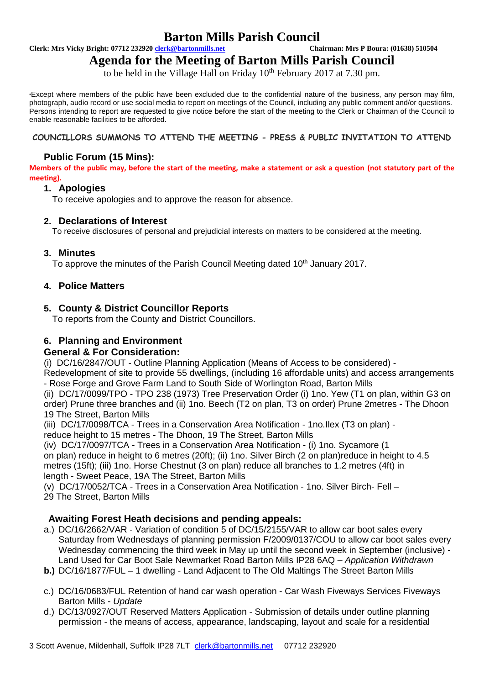# **Barton Mills Parish Council**<br> **Chairman: Mrs P Boura: (01638) 510504**<br>
Chairman: Mrs P Boura: (01638) 510504

**Clerk: Mrs Vicky Bright: 07712 232920 <b>clerk@bartonmills.net** 

## **Agenda for the Meeting of Barton Mills Parish Council**

to be held in the Village Hall on Friday  $10^{th}$  February 2017 at 7.30 pm.

\*Except where members of the public have been excluded due to the confidential nature of the business, any person may film, photograph, audio record or use social media to report on meetings of the Council, including any public comment and/or questions. Persons intending to report are requested to give notice before the start of the meeting to the Clerk or Chairman of the Council to enable reasonable facilities to be afforded.

#### **COUNCILLORS SUMMONS TO ATTEND THE MEETING - PRESS & PUBLIC INVITATION TO ATTEND**

#### **Public Forum (15 Mins):**

**Members of the public may, before the start of the meeting, make a statement or ask a question (not statutory part of the meeting).**

#### **1. Apologies**

To receive apologies and to approve the reason for absence.

#### **2. Declarations of Interest**

To receive disclosures of personal and prejudicial interests on matters to be considered at the meeting.

#### **3. Minutes**

To approve the minutes of the Parish Council Meeting dated 10<sup>th</sup> January 2017.

#### **4. Police Matters**

#### **5. County & District Councillor Reports**

To reports from the County and District Councillors.

#### **6. Planning and Environment**

#### **General & For Consideration:**

(i) DC/16/2847/OUT - Outline Planning Application (Means of Access to be considered) -

Redevelopment of site to provide 55 dwellings, (including 16 affordable units) and access arrangements - Rose Forge and Grove Farm Land to South Side of Worlington Road, Barton Mills

(ii) DC/17/0099/TPO - TPO 238 (1973) Tree Preservation Order (i) 1no. Yew (T1 on plan, within G3 on order) Prune three branches and (ii) 1no. Beech (T2 on plan, T3 on order) Prune 2metres - The Dhoon 19 The Street, Barton Mills

(iii) DC/17/0098/TCA - Trees in a Conservation Area Notification - 1no.Ilex (T3 on plan) reduce height to 15 metres - The Dhoon, 19 The Street, Barton Mills

(iv) DC/17/0097/TCA - Trees in a Conservation Area Notification - (i) 1no. Sycamore (1 on plan) reduce in height to 6 metres (20ft); (ii) 1no. Silver Birch (2 on plan)reduce in height to 4.5 metres (15ft); (iii) 1no. Horse Chestnut (3 on plan) reduce all branches to 1.2 metres (4ft) in length - Sweet Peace, 19A The Street, Barton Mills

(v) DC/17/0052/TCA - Trees in a Conservation Area Notification - 1no. Silver Birch- Fell – 29 The Street, Barton Mills

#### **Awaiting Forest Heath decisions and pending appeals:**

- a.) DC/16/2662/VAR Variation of condition 5 of DC/15/2155/VAR to allow car boot sales every Saturday from Wednesdays of planning permission F/2009/0137/COU to allow car boot sales every Wednesday commencing the third week in May up until the second week in September (inclusive) - Land Used for Car Boot Sale Newmarket Road Barton Mills IP28 6AQ – *Application Withdrawn*
- **b.)** DC/16/1877/FUL 1 dwelling Land Adjacent to The Old Maltings The Street Barton Mills
- c.) DC/16/0683/FUL Retention of hand car wash operation Car Wash Fiveways Services Fiveways Barton Mills - *Update*
- d.) DC/13/0927/OUT Reserved Matters Application Submission of details under outline planning permission - the means of access, appearance, landscaping, layout and scale for a residential